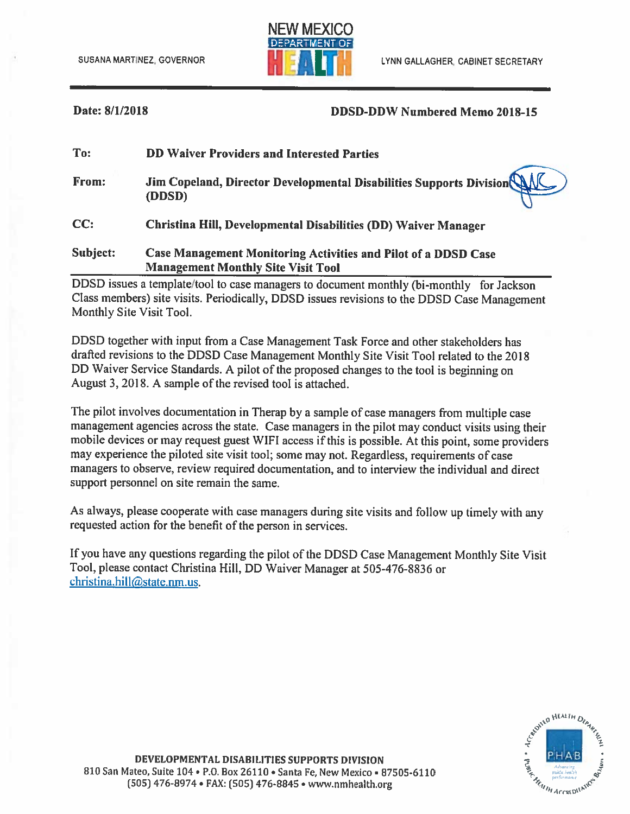

### Date: 8/1/2018

### **DDSD-DDW Numbered Memo 2018-15**

| To:      | <b>DD Waiver Providers and Interested Parties</b>                                                           |
|----------|-------------------------------------------------------------------------------------------------------------|
| From:    | Jim Copeland, Director Developmental Disabilities Supports Division NJC<br>(DDSD)                           |
| CC:      | Christina Hill, Developmental Disabilities (DD) Waiver Manager                                              |
| Subject: | Case Management Monitoring Activities and Pilot of a DDSD Case<br><b>Management Monthly Site Visit Tool</b> |

DDSD issues a template/tool to case managers to document monthly (bi-monthly for Jackson Class members) site visits. Periodically, DDSD issues revisions to the DDSD Case Management Monthly Site Visit Tool.

DDSD together with input from a Case Management Task Force and other stakeholders has drafted revisions to the DDSD Case Management Monthly Site Visit Tool related to the 2018 DD Waiver Service Standards. A pilot of the proposed changes to the tool is beginning on August 3, 2018. A sample of the revised tool is attached.

The pilot involves documentation in Therap by a sample of case managers from multiple case management agencies across the state. Case managers in the pilot may conduct visits using their mobile devices or may request guest WIFI access if this is possible. At this point, some providers may experience the piloted site visit tool; some may not. Regardless, requirements of case managers to observe, review required documentation, and to interview the individual and direct support personnel on site remain the same.

As always, please cooperate with case managers during site visits and follow up timely with any requested action for the benefit of the person in services.

If you have any questions regarding the pilot of the DDSD Case Management Monthly Site Visit Tool, please contact Christina Hill, DD Waiver Manager at 505-476-8836 or christina.hill@state.nm.us.

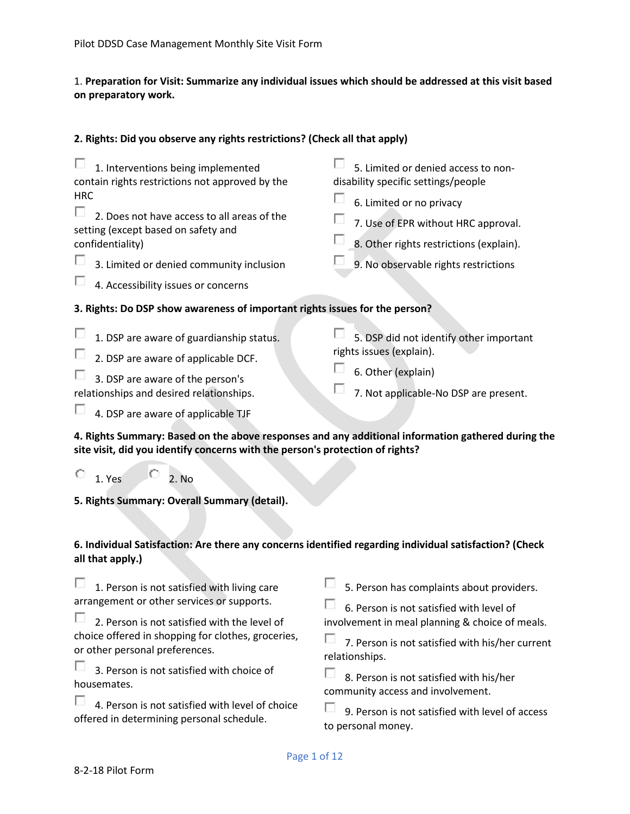# 1. **Preparation for Visit: Summarize any individual issues which should be addressed at this visit based on preparatory work.**

## **2. Rights: Did you observe any rights restrictions? (Check all that apply)**

| 1. Interventions being implemented<br>contain rights restrictions not approved by the<br><b>HRC</b><br>2. Does not have access to all areas of the<br>setting (except based on safety and<br>confidentiality)<br>3. Limited or denied community inclusion<br>4. Accessibility issues or concerns | 5. Limited or denied access to non-<br>disability specific settings/people<br>6. Limited or no privacy<br>7. Use of EPR without HRC approval.<br>8. Other rights restrictions (explain).<br>9. No observable rights restrictions                         |  |
|--------------------------------------------------------------------------------------------------------------------------------------------------------------------------------------------------------------------------------------------------------------------------------------------------|----------------------------------------------------------------------------------------------------------------------------------------------------------------------------------------------------------------------------------------------------------|--|
| 3. Rights: Do DSP show awareness of important rights issues for the person?                                                                                                                                                                                                                      |                                                                                                                                                                                                                                                          |  |
| 1. DSP are aware of guardianship status.<br>2. DSP are aware of applicable DCF.<br>3. DSP are aware of the person's<br>relationships and desired relationships.                                                                                                                                  | 5. DSP did not identify other important<br>rights issues (explain).<br>6. Other (explain)<br>7. Not applicable-No DSP are present.                                                                                                                       |  |
| 4. DSP are aware of applicable TJF                                                                                                                                                                                                                                                               |                                                                                                                                                                                                                                                          |  |
| 4. Rights Summary: Based on the above responses and any additional information gathered during the<br>site visit, did you identify concerns with the person's protection of rights?                                                                                                              |                                                                                                                                                                                                                                                          |  |
| $\circ$<br>1. Yes<br>2. No                                                                                                                                                                                                                                                                       |                                                                                                                                                                                                                                                          |  |
| 5. Rights Summary: Overall Summary (detail).                                                                                                                                                                                                                                                     |                                                                                                                                                                                                                                                          |  |
| 6. Individual Satisfaction: Are there any concerns identified regarding individual satisfaction? (Check<br>all that apply.)                                                                                                                                                                      |                                                                                                                                                                                                                                                          |  |
| 1. Person is not satisfied with living care<br>arrangement or other services or supports.<br>2. Person is not satisfied with the level of<br>choice offered in shopping for clothes, groceries,<br>or other personal preferences.<br>3. Person is not satisfied with choice of                   | 5. Person has complaints about providers.<br>6. Person is not satisfied with level of<br>involvement in meal planning & choice of meals.<br>7. Person is not satisfied with his/her current<br>relationships.<br>8. Person is not satisfied with his/her |  |

 $\Box$  4. Person is not satisfied with level of choice offered in determining personal schedule.

 $\Box$  9. Person is not satisfied with level of access to personal money.

community access and involvement.

housemates.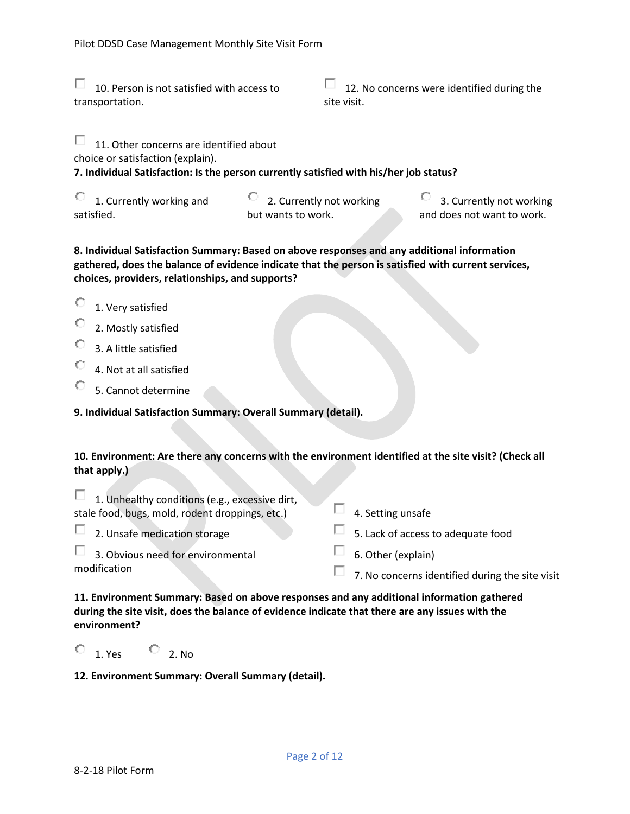$\Box$  10. Person is not satisfied with access to transportation.

 $\Box$  12. No concerns were identified during the site visit.

П. 11. Other concerns are identified about

choice or satisfaction (explain).

## **7. Individual Satisfaction: Is the person currently satisfied with his/her job status?**

| 1. Currently working and | 2. Currently not working | 3. Currently not working   |
|--------------------------|--------------------------|----------------------------|
| satisfied.               | but wants to work.       | and does not want to work. |

## **8. Individual Satisfaction Summary: Based on above responses and any additional information gathered, does the balance of evidence indicate that the person is satisfied with current services, choices, providers, relationships, and supports?**

- О. 1. Very satisfied
- О 2. Mostly satisfied
- 3. A little satisfied
- О 4. Not at all satisfied
- O 5. Cannot determine

## **9. Individual Satisfaction Summary: Overall Summary (detail).**

## **10. Environment: Are there any concerns with the environment identified at the site visit? (Check all that apply.)**

| $\Box$ 1. Unhealthy conditions (e.g., excessive dirt, |                                                 |
|-------------------------------------------------------|-------------------------------------------------|
| stale food, bugs, mold, rodent droppings, etc.)       | 4. Setting unsafe                               |
| $\Box$ 2. Unsafe medication storage                   | $\Box$ 5. Lack of access to adequate food       |
| $\Box$ 3. Obvious need for environmental              | 6. Other (explain)                              |
| modification                                          | 7. No concerns identified during the site visit |

**11. Environment Summary: Based on above responses and any additional information gathered during the site visit, does the balance of evidence indicate that there are any issues with the environment?**

 $\overline{O}$  1. Yes  $\overline{O}$  2. No

### **12. Environment Summary: Overall Summary (detail).**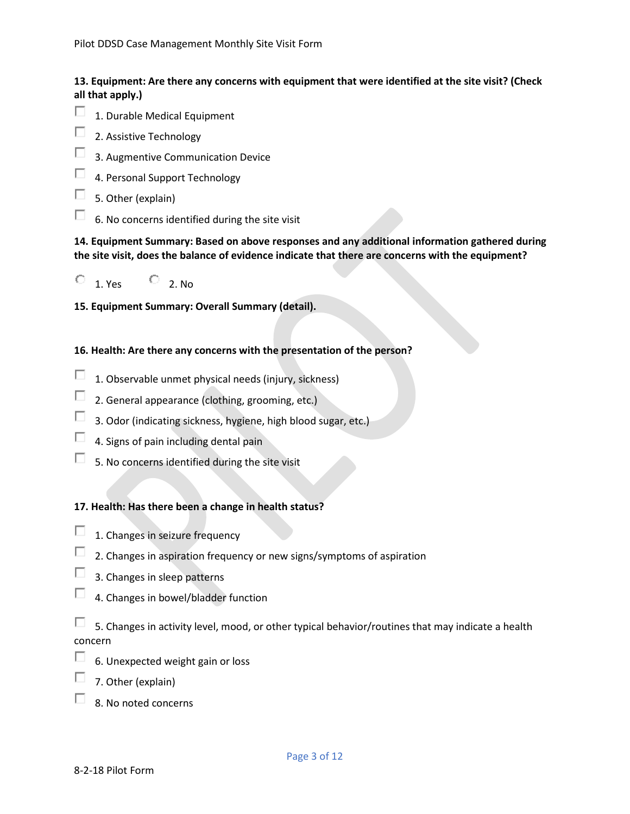# **13. Equipment: Are there any concerns with equipment that were identified at the site visit? (Check all that apply.)**

- □ 1. Durable Medical Equipment
- П 2. Assistive Technology
- П 3. Augmentive Communication Device
- П 4. Personal Support Technology
- П 5. Other (explain)
- П. 6. No concerns identified during the site visit

**14. Equipment Summary: Based on above responses and any additional information gathered during the site visit, does the balance of evidence indicate that there are concerns with the equipment?** 



**15. Equipment Summary: Overall Summary (detail).**

## **16. Health: Are there any concerns with the presentation of the person?**

- П 1. Observable unmet physical needs (injury, sickness)
- $\Box$ 2. General appearance (clothing, grooming, etc.)
- П. 3. Odor (indicating sickness, hygiene, high blood sugar, etc.)
- П. 4. Signs of pain including dental pain
- П. 5. No concerns identified during the site visit

### **17. Health: Has there been a change in health status?**

- П 1. Changes in seizure frequency
- 2. Changes in aspiration frequency or new signs/symptoms of aspiration
- 3. Changes in sleep patterns
- 4. Changes in bowel/bladder function

П. 5. Changes in activity level, mood, or other typical behavior/routines that may indicate a health concern

- П 6. Unexpected weight gain or loss
- 7. Other (explain)
- п. 8. No noted concerns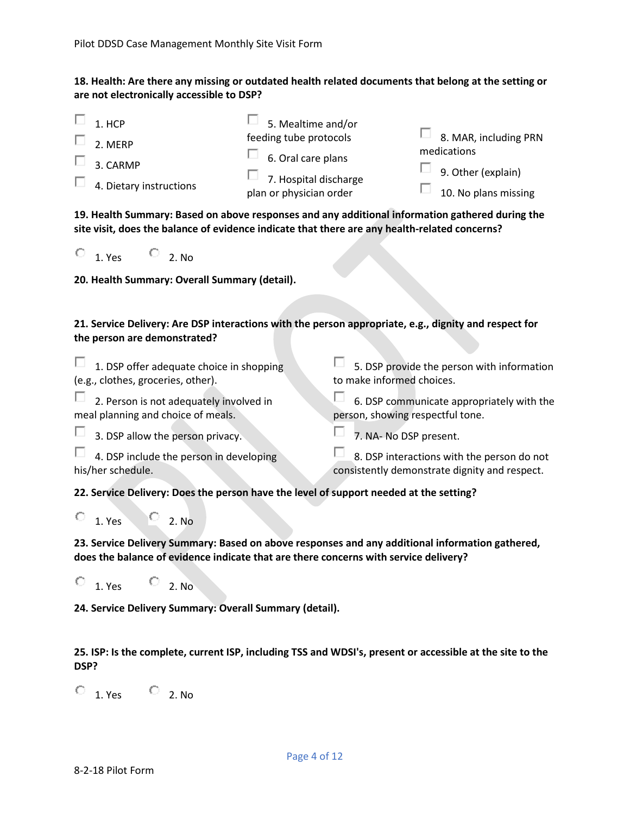## **18. Health: Are there any missing or outdated health related documents that belong at the setting or are not electronically accessible to DSP?**

|   | 1. HCP                              | 5. Mealtime and/or                                                                   |                                             |
|---|-------------------------------------|--------------------------------------------------------------------------------------|---------------------------------------------|
| ш | 2. MERP                             | feeding tube protocols                                                               | $\Box$ 8. MAR, including PRN<br>medications |
| ш | 3. CARMP<br>4. Dietary instructions | $\Box$ 6. Oral care plans<br>$\Box$ 7. Hospital discharge<br>plan or physician order | 9. Other (explain)<br>10. No plans missing  |

**19. Health Summary: Based on above responses and any additional information gathered during the site visit, does the balance of evidence indicate that there are any health-related concerns?**

| 1. Yes |  | 2. No |
|--------|--|-------|
|--------|--|-------|

**20. Health Summary: Overall Summary (detail).**

## **21. Service Delivery: Are DSP interactions with the person appropriate, e.g., dignity and respect for the person are demonstrated?**

| $\Box$ 1. DSP offer adequate choice in shopping                                        | 5. DSP provide the person with information    |
|----------------------------------------------------------------------------------------|-----------------------------------------------|
| (e.g., clothes, groceries, other).                                                     | to make informed choices.                     |
| 2. Person is not adequately involved in                                                | 6. DSP communicate appropriately with the     |
| meal planning and choice of meals.                                                     | person, showing respectful tone.              |
| $\Box$ 3. DSP allow the person privacy.                                                | 7. NA- No DSP present.                        |
| $\Box$ 4. DSP include the person in developing                                         | 8. DSP interactions with the person do not    |
| his/her schedule.                                                                      | consistently demonstrate dignity and respect. |
| 22. Service Delivery: Does the person have the level of support needed at the setting? |                                               |
| 2. No<br>1. Yes                                                                        |                                               |

**23. Service Delivery Summary: Based on above responses and any additional information gathered, does the balance of evidence indicate that are there concerns with service delivery?**

 $\begin{array}{ccc} \circ & 1. & \circ \\ \circ & \circ & 2. & \mathsf{No} \end{array}$ 

**24. Service Delivery Summary: Overall Summary (detail).**

**25. ISP: Is the complete, current ISP, including TSS and WDSI's, present or accessible at the site to the DSP?**

 $\overline{O}$  1. Yes  $\overline{O}$  2. No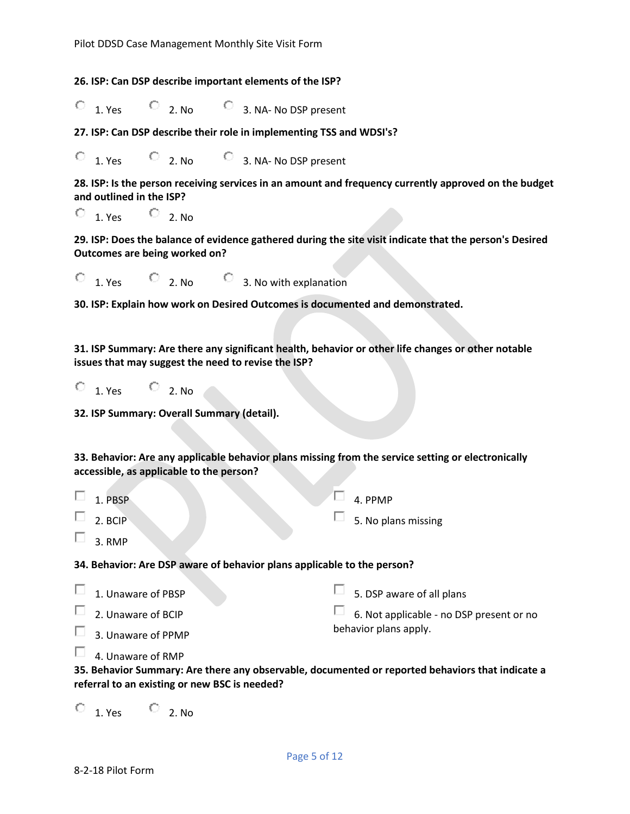**26. ISP: Can DSP describe important elements of the ISP?**

 $\overline{C}$  1. Yes  $\overline{C}$  2. No  $\overline{C}$  3. NA- No DSP present

**27. ISP: Can DSP describe their role in implementing TSS and WDSI's?**

1. Yes  $\bigcirc$  2. No  $\bigcirc$  3. NA- No DSP present О.

**28. ISP: Is the person receiving services in an amount and frequency currently approved on the budget and outlined in the ISP?**

 $\overline{O}$  1. Yes  $\overline{O}$  2. No

**29. ISP: Does the balance of evidence gathered during the site visit indicate that the person's Desired Outcomes are being worked on?**

 $\begin{array}{ccc} \circ & 1. & \text{Yes} \\ \circ & 1. & \text{Yes} \end{array}$   $\begin{array}{ccc} \circ & 2. & \text{No} \\ \circ & 3. & \text{No with explanation} \end{array}$ 

**30. ISP: Explain how work on Desired Outcomes is documented and demonstrated.**

**31. ISP Summary: Are there any significant health, behavior or other life changes or other notable issues that may suggest the need to revise the ISP?**

 $\overline{O}$  1. Yes  $\overline{O}$  2. No.

**32. ISP Summary: Overall Summary (detail).**

**33. Behavior: Are any applicable behavior plans missing from the service setting or electronically accessible, as applicable to the person?**

 $\Box$  4. PPMP

5. No plans missing

Π. 1. PBSP

2. BCIP

П. 3. RMP

**34. Behavior: Are DSP aware of behavior plans applicable to the person?**

| $\Box$ 1. Unaware of PBSP | $\Box$ 5. DSP aware of all plans         |
|---------------------------|------------------------------------------|
| $\Box$ 2. Unaware of BCIP | 6. Not applicable - no DSP present or no |
| $\Box$ 3. Unaware of PPMP | behavior plans apply.                    |

 $\Box$  4. Unaware of RMP

**35. Behavior Summary: Are there any observable, documented or reported behaviors that indicate a referral to an existing or new BSC is needed?**

 $\begin{array}{ccc} \circ & 1. & \circ \\ \circ & 1. & \circ \end{array}$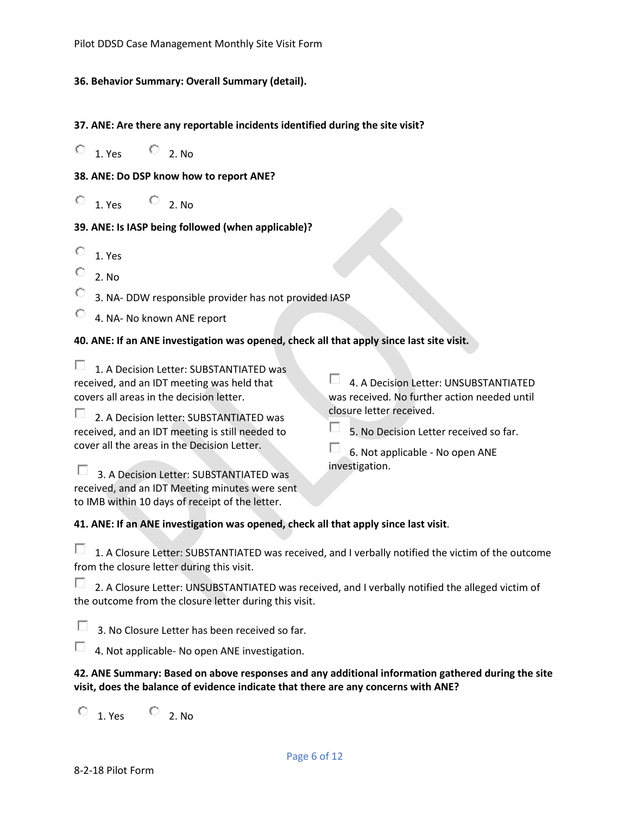#### **36. Behavior Summary: Overall Summary (detail).**

#### **37. ANE: Are there any reportable incidents identified during the site visit?**

 $\overline{O}$  1. Yes  $\overline{O}$  2. No

**38. ANE: Do DSP know how to report ANE?**

 $\overline{O}$  1. Yes  $\overline{O}$  2. No

## **39. ANE: Is IASP being followed (when applicable)?**

- $\begin{array}{cc} \n\bullet & 1. \text{ Yes} \n\end{array}$
- 2. No
- 3. NA- DDW responsible provider has not provided IASP

4. NA- No known ANE report

# **40. ANE: If an ANE investigation was opened, check all that apply since last site visit.**

 $\Box$  1. A Decision Letter: SUBSTANTIATED was received, and an IDT meeting was held that covers all areas in the decision letter.

2. A Decision letter: SUBSTANTIATED was received, and an IDT meeting is still needed to cover all the areas in the Decision Letter.

4. A Decision Letter: UNSUBSTANTIATED was received. No further action needed until closure letter received.

```
п
5. No Decision Letter received so far.
```
6. Not applicable - No open ANE investigation.

**5. 3. A Decision Letter: SUBSTANTIATED was** received, and an IDT Meeting minutes were sent to IMB within 10 days of receipt of the letter.

**41. ANE: If an ANE investigation was opened, check all that apply since last visit**.

 $\Box$  1. A Closure Letter: SUBSTANTIATED was received, and I verbally notified the victim of the outcome from the closure letter during this visit.

**2. A Closure Letter: UNSUBSTANTIATED was received, and I verbally notified the alleged victim of** the outcome from the closure letter during this visit.

п. 3. No Closure Letter has been received so far.

4. Not applicable- No open ANE investigation.

## **42. ANE Summary: Based on above responses and any additional information gathered during the site visit, does the balance of evidence indicate that there are any concerns with ANE?**

 $\overline{O}$  1. Yes  $\overline{O}$  2. No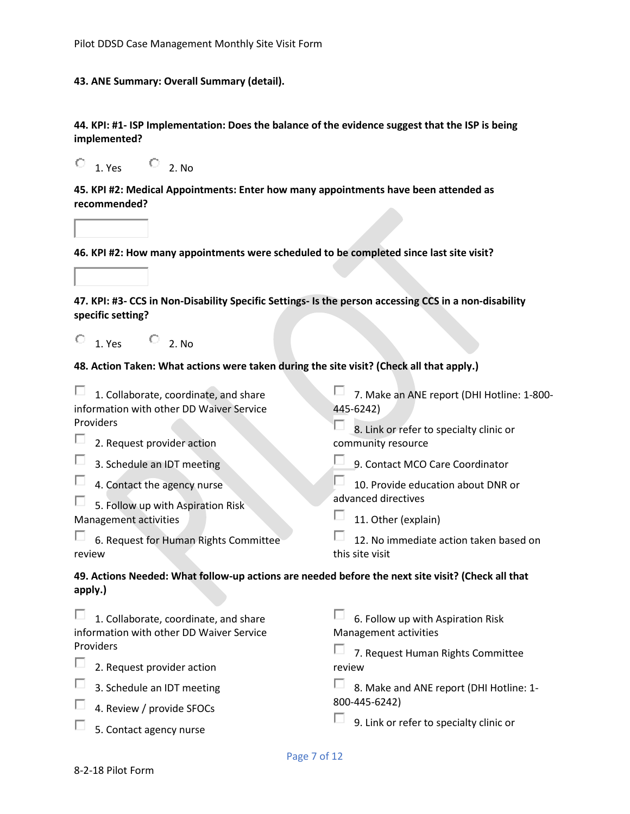#### **43. ANE Summary: Overall Summary (detail).**

**44. KPI: #1- ISP Implementation: Does the balance of the evidence suggest that the ISP is being implemented?**

 $\overline{O}$  1. Yes  $\overline{O}$  2. No

**45. KPI #2: Medical Appointments: Enter how many appointments have been attended as recommended?**

**46. KPI #2: How many appointments were scheduled to be completed since last site visit?**

**47. KPI: #3- CCS in Non-Disability Specific Settings- Is the person accessing CCS in a non-disability specific setting?**

| 1. Yes | 2. No |
|--------|-------|

#### **48. Action Taken: What actions were taken during the site visit? (Check all that apply.)**

| 1. Collaborate, coordinate, and share                                                                        | 7. Make an ANE report (DHI Hotline: 1-800- |
|--------------------------------------------------------------------------------------------------------------|--------------------------------------------|
| information with other DD Waiver Service                                                                     | 445-6242)                                  |
| Providers                                                                                                    | 8. Link or refer to specialty clinic or    |
| 2. Request provider action                                                                                   | community resource                         |
| 3. Schedule an IDT meeting                                                                                   | 9. Contact MCO Care Coordinator            |
| 4. Contact the agency nurse                                                                                  | 10. Provide education about DNR or         |
| 5. Follow up with Aspiration Risk                                                                            | advanced directives                        |
| Management activities                                                                                        | 11. Other (explain)                        |
| 6. Request for Human Rights Committee                                                                        | 12. No immediate action taken based on     |
| review                                                                                                       | this site visit                            |
| 49. Actions Needed: What follow-up actions are needed before the next site visit? (Check all that<br>apply.) |                                            |
| 1. Collaborate, coordinate, and share                                                                        | 6. Follow up with Aspiration Risk          |
| information with other DD Waiver Service                                                                     | Management activities                      |
| Providers                                                                                                    | 7. Request Human Rights Committee          |
| 2. Request provider action                                                                                   | review                                     |
| 3. Schedule an IDT meeting                                                                                   | 8. Make and ANE report (DHI Hotline: 1-    |
|                                                                                                              | 800-445-6242)                              |

 $\Box$  4. Review / provide SFOCs

 $\Box$  5. Contact agency nurse

 $\Box$  9. Link or refer to specialty clinic or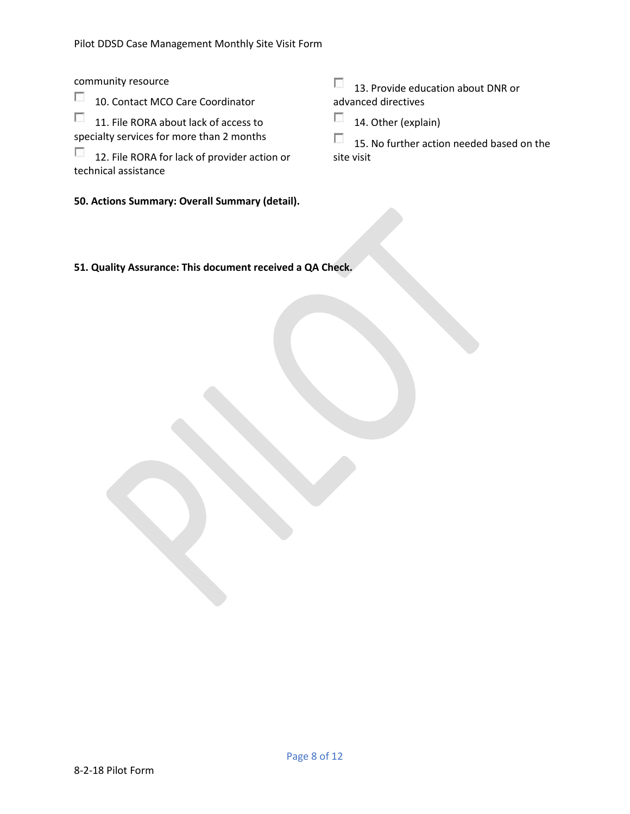community resource

 $\sim$ 10. Contact MCO Care Coordinator

 $\sim$ 11. File RORA about lack of access to specialty services for more than 2 months

 $\overline{\phantom{a}}$ 12. File RORA for lack of provider action or technical assistance

**50. Actions Summary: Overall Summary (detail).**

13. Provide education about DNR or advanced directives

 $\mathcal{L}^{\mathcal{L}}$ 14. Other (explain)

 $\mathcal{L}_{\mathcal{A}}$ 15. No further action needed based on the site visit

**51. Quality Assurance: This document received a QA Check.**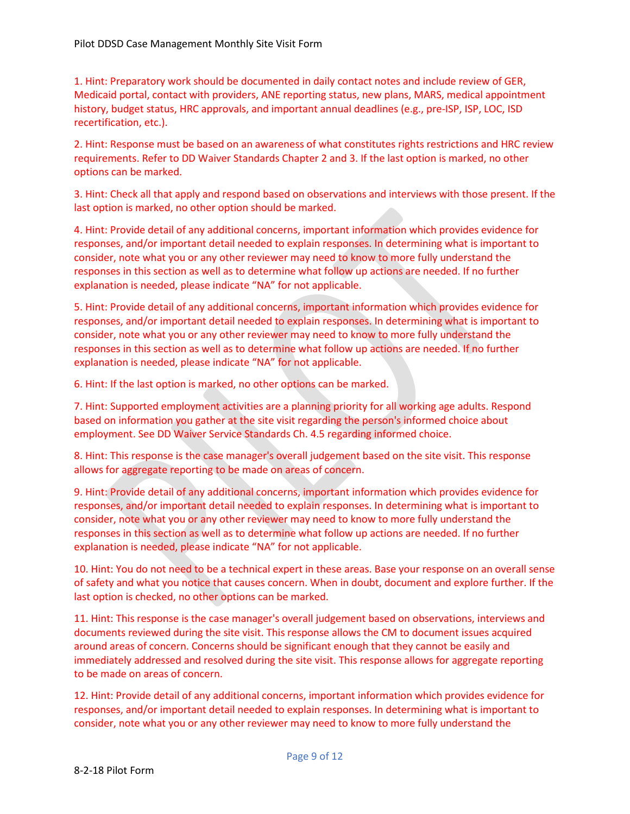1. Hint: Preparatory work should be documented in daily contact notes and include review of GER, Medicaid portal, contact with providers, ANE reporting status, new plans, MARS, medical appointment history, budget status, HRC approvals, and important annual deadlines (e.g., pre-ISP, ISP, LOC, ISD recertification, etc.).

2. Hint: Response must be based on an awareness of what constitutes rights restrictions and HRC review requirements. Refer to DD Waiver Standards Chapter 2 and 3. If the last option is marked, no other options can be marked.

3. Hint: Check all that apply and respond based on observations and interviews with those present. If the last option is marked, no other option should be marked.

4. Hint: Provide detail of any additional concerns, important information which provides evidence for responses, and/or important detail needed to explain responses. In determining what is important to consider, note what you or any other reviewer may need to know to more fully understand the responses in this section as well as to determine what follow up actions are needed. If no further explanation is needed, please indicate "NA" for not applicable.

5. Hint: Provide detail of any additional concerns, important information which provides evidence for responses, and/or important detail needed to explain responses. In determining what is important to consider, note what you or any other reviewer may need to know to more fully understand the responses in this section as well as to determine what follow up actions are needed. If no further explanation is needed, please indicate "NA" for not applicable.

6. Hint: If the last option is marked, no other options can be marked.

7. Hint: Supported employment activities are a planning priority for all working age adults. Respond based on information you gather at the site visit regarding the person's informed choice about employment. See DD Waiver Service Standards Ch. 4.5 regarding informed choice.

8. Hint: This response is the case manager's overall judgement based on the site visit. This response allows for aggregate reporting to be made on areas of concern.

9. Hint: Provide detail of any additional concerns, important information which provides evidence for responses, and/or important detail needed to explain responses. In determining what is important to consider, note what you or any other reviewer may need to know to more fully understand the responses in this section as well as to determine what follow up actions are needed. If no further explanation is needed, please indicate "NA" for not applicable.

10. Hint: You do not need to be a technical expert in these areas. Base your response on an overall sense of safety and what you notice that causes concern. When in doubt, document and explore further. If the last option is checked, no other options can be marked.

11. Hint: This response is the case manager's overall judgement based on observations, interviews and documents reviewed during the site visit. This response allows the CM to document issues acquired around areas of concern. Concerns should be significant enough that they cannot be easily and immediately addressed and resolved during the site visit. This response allows for aggregate reporting to be made on areas of concern.

12. Hint: Provide detail of any additional concerns, important information which provides evidence for responses, and/or important detail needed to explain responses. In determining what is important to consider, note what you or any other reviewer may need to know to more fully understand the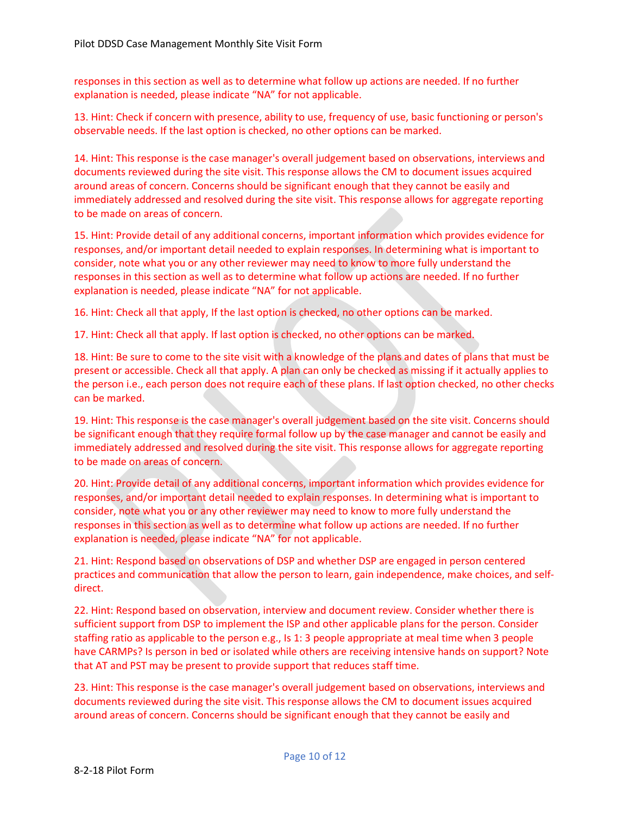responses in this section as well as to determine what follow up actions are needed. If no further explanation is needed, please indicate "NA" for not applicable.

13. Hint: Check if concern with presence, ability to use, frequency of use, basic functioning or person's observable needs. If the last option is checked, no other options can be marked.

14. Hint: This response is the case manager's overall judgement based on observations, interviews and documents reviewed during the site visit. This response allows the CM to document issues acquired around areas of concern. Concerns should be significant enough that they cannot be easily and immediately addressed and resolved during the site visit. This response allows for aggregate reporting to be made on areas of concern.

15. Hint: Provide detail of any additional concerns, important information which provides evidence for responses, and/or important detail needed to explain responses. In determining what is important to consider, note what you or any other reviewer may need to know to more fully understand the responses in this section as well as to determine what follow up actions are needed. If no further explanation is needed, please indicate "NA" for not applicable.

16. Hint: Check all that apply, If the last option is checked, no other options can be marked.

17. Hint: Check all that apply. If last option is checked, no other options can be marked.

18. Hint: Be sure to come to the site visit with a knowledge of the plans and dates of plans that must be present or accessible. Check all that apply. A plan can only be checked as missing if it actually applies to the person i.e., each person does not require each of these plans. If last option checked, no other checks can be marked.

19. Hint: This response is the case manager's overall judgement based on the site visit. Concerns should be significant enough that they require formal follow up by the case manager and cannot be easily and immediately addressed and resolved during the site visit. This response allows for aggregate reporting to be made on areas of concern.

20. Hint: Provide detail of any additional concerns, important information which provides evidence for responses, and/or important detail needed to explain responses. In determining what is important to consider, note what you or any other reviewer may need to know to more fully understand the responses in this section as well as to determine what follow up actions are needed. If no further explanation is needed, please indicate "NA" for not applicable.

21. Hint: Respond based on observations of DSP and whether DSP are engaged in person centered practices and communication that allow the person to learn, gain independence, make choices, and selfdirect.

22. Hint: Respond based on observation, interview and document review. Consider whether there is sufficient support from DSP to implement the ISP and other applicable plans for the person. Consider staffing ratio as applicable to the person e.g., Is 1: 3 people appropriate at meal time when 3 people have CARMPs? Is person in bed or isolated while others are receiving intensive hands on support? Note that AT and PST may be present to provide support that reduces staff time.

23. Hint: This response is the case manager's overall judgement based on observations, interviews and documents reviewed during the site visit. This response allows the CM to document issues acquired around areas of concern. Concerns should be significant enough that they cannot be easily and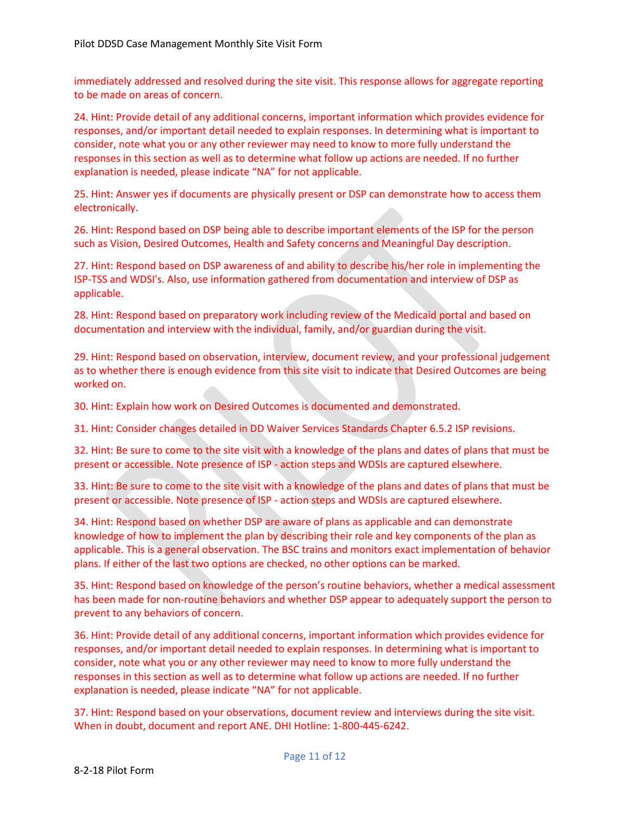immediately addressed and resolved during the site visit. This response allows for aggregate reporting to be made on areas of concern.

24. Hint: Provide detail of any additional concerns, important information which provides evidence for responses, and/or important detail needed to explain responses. In determining what is important to consider, note what you or any other reviewer may need to know to more fully understand the responses in this section as well as to determine what follow up actions are needed. If no further explanation is needed, please indicate "NA" for not applicable.

25. Hint: Answer yes if documents are physically present or DSP can demonstrate how to access them electronically.

26. Hint: Respond based on DSP being able to describe important elements of the ISP for the person such as Vision, Desired Outcomes, Health and Safety concerns and Meaningful Day description.

27. Hint: Respond based on DSP awareness of and ability to describe his/her role in implementing the ISP-TSS and WDSI's. Also, use information gathered from documentation and interview of DSP as applicable.

28. Hint: Respond based on preparatory work including review of the Medicaid portal and based on documentation and interview with the individual, family, and/or guardian during the visit.

29. Hint: Respond based on observation, interview, document review, and your professional judgement as to whether there is enough evidence from this site visit to indicate that Desired Outcomes are being worked on.

30. Hint: Explain how work on Desired Outcomes is documented and demonstrated.

31. Hint: Consider changes detailed in DD Waiver Services Standards Chapter 6.5.2 ISP revisions.

32. Hint: Be sure to come to the site visit with a knowledge of the plans and dates of plans that must be present or accessible. Note presence of ISP - action steps and WDSIs are captured elsewhere.

33. Hint: Be sure to come to the site visit with a knowledge of the plans and dates of plans that must be present or accessible. Note presence of ISP - action steps and WDSIs are captured elsewhere.

34. Hint: Respond based on whether DSP are aware of plans as applicable and can demonstrate knowledge of how to implement the plan by describing their role and key components of the plan as applicable. This is a general observation. The BSC trains and monitors exact implementation of behavior plans. If either of the last two options are checked, no other options can be marked.

35. Hint: Respond based on knowledge of the person's routine behaviors, whether a medical assessment has been made for non-routine behaviors and whether DSP appear to adequately support the person to prevent to any behaviors of concern.

36. Hint: Provide detail of any additional concerns, important information which provides evidence for responses, and/or important detail needed to explain responses. In determining what is important to consider, note what you or any other reviewer may need to know to more fully understand the responses in this section as well as to determine what follow up actions are needed. If no further explanation is needed, please indicate "NA" for not applicable.

37. Hint: Respond based on your observations, document review and interviews during the site visit. When in doubt, document and report ANE. DHI Hotline: 1-800-445-6242.